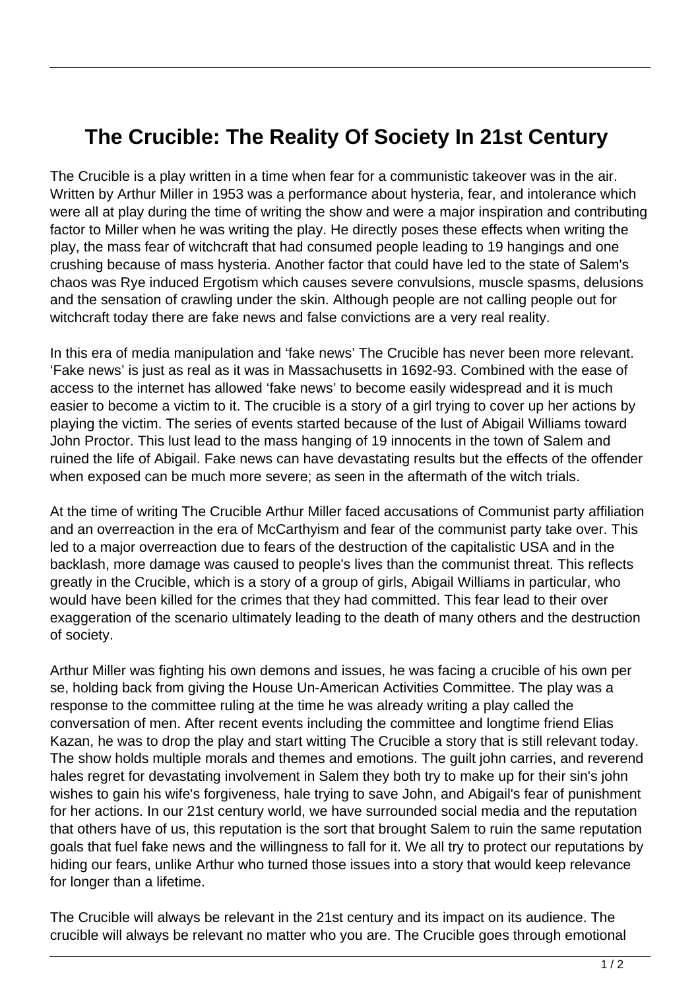## **The Crucible: The Reality Of Society In 21st Century**

The Crucible is a play written in a time when fear for a communistic takeover was in the air. Written by Arthur Miller in 1953 was a performance about hysteria, fear, and intolerance which were all at play during the time of writing the show and were a major inspiration and contributing factor to Miller when he was writing the play. He directly poses these effects when writing the play, the mass fear of witchcraft that had consumed people leading to 19 hangings and one crushing because of mass hysteria. Another factor that could have led to the state of Salem's chaos was Rye induced Ergotism which causes severe convulsions, muscle spasms, delusions and the sensation of crawling under the skin. Although people are not calling people out for witchcraft today there are fake news and false convictions are a very real reality.

In this era of media manipulation and 'fake news' The Crucible has never been more relevant. 'Fake news' is just as real as it was in Massachusetts in 1692-93. Combined with the ease of access to the internet has allowed 'fake news' to become easily widespread and it is much easier to become a victim to it. The crucible is a story of a girl trying to cover up her actions by playing the victim. The series of events started because of the lust of Abigail Williams toward John Proctor. This lust lead to the mass hanging of 19 innocents in the town of Salem and ruined the life of Abigail. Fake news can have devastating results but the effects of the offender when exposed can be much more severe; as seen in the aftermath of the witch trials.

At the time of writing The Crucible Arthur Miller faced accusations of Communist party affiliation and an overreaction in the era of McCarthyism and fear of the communist party take over. This led to a major overreaction due to fears of the destruction of the capitalistic USA and in the backlash, more damage was caused to people's lives than the communist threat. This reflects greatly in the Crucible, which is a story of a group of girls, Abigail Williams in particular, who would have been killed for the crimes that they had committed. This fear lead to their over exaggeration of the scenario ultimately leading to the death of many others and the destruction of society.

Arthur Miller was fighting his own demons and issues, he was facing a crucible of his own per se, holding back from giving the House Un-American Activities Committee. The play was a response to the committee ruling at the time he was already writing a play called the conversation of men. After recent events including the committee and longtime friend Elias Kazan, he was to drop the play and start witting The Crucible a story that is still relevant today. The show holds multiple morals and themes and emotions. The guilt john carries, and reverend hales regret for devastating involvement in Salem they both try to make up for their sin's john wishes to gain his wife's forgiveness, hale trying to save John, and Abigail's fear of punishment for her actions. In our 21st century world, we have surrounded social media and the reputation that others have of us, this reputation is the sort that brought Salem to ruin the same reputation goals that fuel fake news and the willingness to fall for it. We all try to protect our reputations by hiding our fears, unlike Arthur who turned those issues into a story that would keep relevance for longer than a lifetime.

The Crucible will always be relevant in the 21st century and its impact on its audience. The crucible will always be relevant no matter who you are. The Crucible goes through emotional